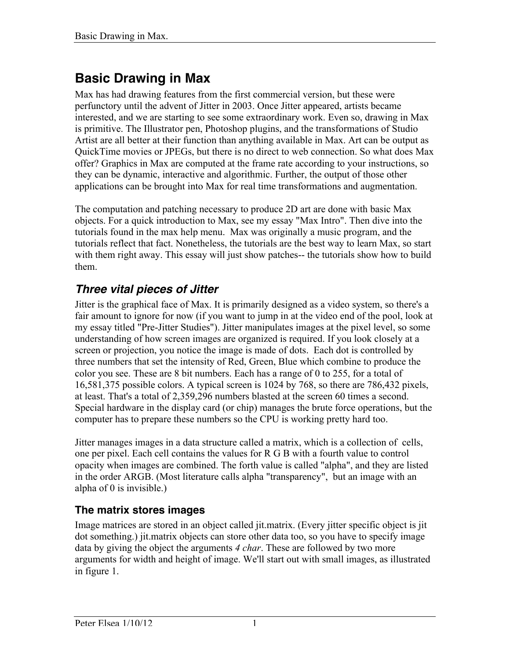# **Basic Drawing in Max**

Max has had drawing features from the first commercial version, but these were perfunctory until the advent of Jitter in 2003. Once Jitter appeared, artists became interested, and we are starting to see some extraordinary work. Even so, drawing in Max is primitive. The Illustrator pen, Photoshop plugins, and the transformations of Studio Artist are all better at their function than anything available in Max. Art can be output as QuickTime movies or JPEGs, but there is no direct to web connection. So what does Max offer? Graphics in Max are computed at the frame rate according to your instructions, so they can be dynamic, interactive and algorithmic. Further, the output of those other applications can be brought into Max for real time transformations and augmentation.

The computation and patching necessary to produce 2D art are done with basic Max objects. For a quick introduction to Max, see my essay "Max Intro". Then dive into the tutorials found in the max help menu. Max was originally a music program, and the tutorials reflect that fact. Nonetheless, the tutorials are the best way to learn Max, so start with them right away. This essay will just show patches-- the tutorials show how to build them.

# *Three vital pieces of Jitter*

Jitter is the graphical face of Max. It is primarily designed as a video system, so there's a fair amount to ignore for now (if you want to jump in at the video end of the pool, look at my essay titled "Pre-Jitter Studies"). Jitter manipulates images at the pixel level, so some understanding of how screen images are organized is required. If you look closely at a screen or projection, you notice the image is made of dots. Each dot is controlled by three numbers that set the intensity of Red, Green, Blue which combine to produce the color you see. These are 8 bit numbers. Each has a range of 0 to 255, for a total of 16,581,375 possible colors. A typical screen is 1024 by 768, so there are 786,432 pixels, at least. That's a total of 2,359,296 numbers blasted at the screen 60 times a second. Special hardware in the display card (or chip) manages the brute force operations, but the computer has to prepare these numbers so the CPU is working pretty hard too.

Jitter manages images in a data structure called a matrix, which is a collection of cells, one per pixel. Each cell contains the values for R G B with a fourth value to control opacity when images are combined. The forth value is called "alpha", and they are listed in the order ARGB. (Most literature calls alpha "transparency", but an image with an alpha of 0 is invisible.)

### **The matrix stores images**

Image matrices are stored in an object called jit.matrix. (Every jitter specific object is jit dot something.) jit.matrix objects can store other data too, so you have to specify image data by giving the object the arguments *4 char*. These are followed by two more arguments for width and height of image. We'll start out with small images, as illustrated in figure 1.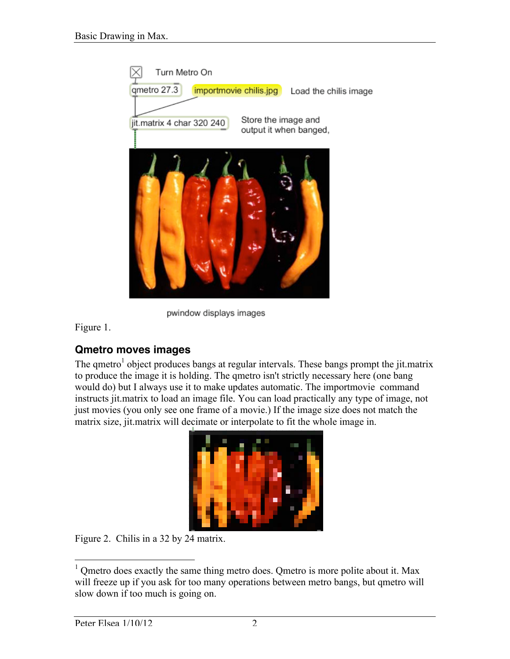

pwindow displays images

Figure 1.

### **Qmetro moves images**

The qmetro<sup>1</sup> object produces bangs at regular intervals. These bangs prompt the jit.matrix to produce the image it is holding. The qmetro isn't strictly necessary here (one bang would do) but I always use it to make updates automatic. The importmovie command instructs jit.matrix to load an image file. You can load practically any type of image, not just movies (you only see one frame of a movie.) If the image size does not match the matrix size, jit.matrix will decimate or interpolate to fit the whole image in.



Figure 2. Chilis in a 32 by 24 matrix.

<sup>&</sup>lt;sup>1</sup> Qmetro does exactly the same thing metro does. Qmetro is more polite about it. Max will freeze up if you ask for too many operations between metro bangs, but qmetro will slow down if too much is going on.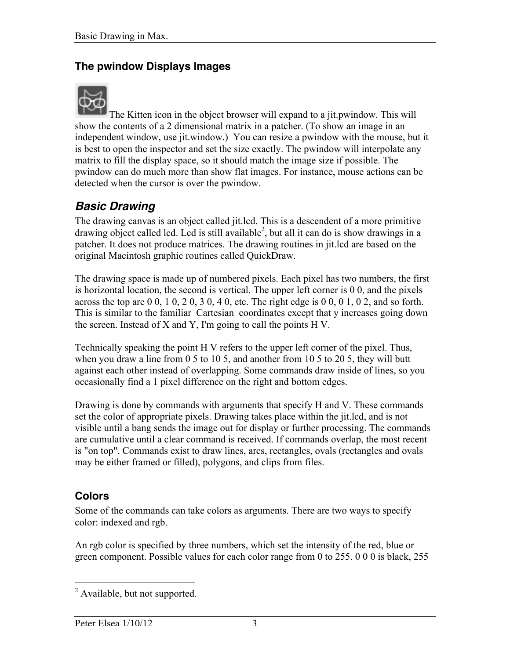#### **The pwindow Displays Images**



The Kitten icon in the object browser will expand to a jit.pwindow. This will show the contents of a 2 dimensional matrix in a patcher. (To show an image in an independent window, use jit.window.) You can resize a pwindow with the mouse, but it is best to open the inspector and set the size exactly. The pwindow will interpolate any matrix to fill the display space, so it should match the image size if possible. The pwindow can do much more than show flat images. For instance, mouse actions can be detected when the cursor is over the pwindow.

## *Basic Drawing*

The drawing canvas is an object called jit.lcd. This is a descendent of a more primitive drawing object called lcd. Lcd is still available<sup>2</sup>, but all it can do is show drawings in a patcher. It does not produce matrices. The drawing routines in jit.lcd are based on the original Macintosh graphic routines called QuickDraw.

The drawing space is made up of numbered pixels. Each pixel has two numbers, the first is horizontal location, the second is vertical. The upper left corner is 0 0, and the pixels across the top are  $0 \, 0, 1 \, 0, 2 \, 0, 3 \, 0, 4 \, 0$ , etc. The right edge is  $0 \, 0, 0 \, 1, 0 \, 2$ , and so forth. This is similar to the familiar Cartesian coordinates except that y increases going down the screen. Instead of X and Y, I'm going to call the points H V.

Technically speaking the point H V refers to the upper left corner of the pixel. Thus, when you draw a line from 0 5 to 10 5, and another from 10 5 to 20 5, they will butt against each other instead of overlapping. Some commands draw inside of lines, so you occasionally find a 1 pixel difference on the right and bottom edges.

Drawing is done by commands with arguments that specify H and V. These commands set the color of appropriate pixels. Drawing takes place within the jit.lcd, and is not visible until a bang sends the image out for display or further processing. The commands are cumulative until a clear command is received. If commands overlap, the most recent is "on top". Commands exist to draw lines, arcs, rectangles, ovals (rectangles and ovals may be either framed or filled), polygons, and clips from files.

#### **Colors**

Some of the commands can take colors as arguments. There are two ways to specify color: indexed and rgb.

An rgb color is specified by three numbers, which set the intensity of the red, blue or green component. Possible values for each color range from 0 to 255. 0 0 0 is black, 255

<sup>&</sup>lt;sup>2</sup> Available, but not supported.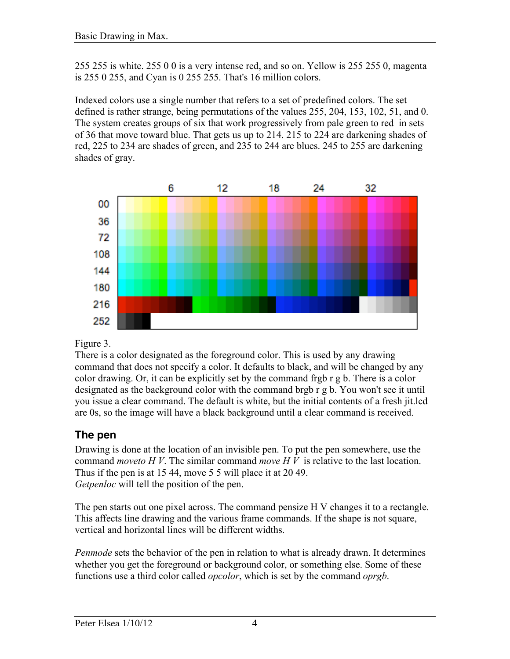255 255 is white. 255 0 0 is a very intense red, and so on. Yellow is 255 255 0, magenta is 255 0 255, and Cyan is 0 255 255. That's 16 million colors.

Indexed colors use a single number that refers to a set of predefined colors. The set defined is rather strange, being permutations of the values 255, 204, 153, 102, 51, and 0. The system creates groups of six that work progressively from pale green to red in sets of 36 that move toward blue. That gets us up to 214. 215 to 224 are darkening shades of red, 225 to 234 are shades of green, and 235 to 244 are blues. 245 to 255 are darkening shades of gray.



Figure 3.

There is a color designated as the foreground color. This is used by any drawing command that does not specify a color. It defaults to black, and will be changed by any color drawing. Or, it can be explicitly set by the command frgb r g b. There is a color designated as the background color with the command brgb r g b. You won't see it until you issue a clear command. The default is white, but the initial contents of a fresh jit.lcd are 0s, so the image will have a black background until a clear command is received.

# **The pen**

Drawing is done at the location of an invisible pen. To put the pen somewhere, use the command *moveto H V*. The similar command *move H V* is relative to the last location. Thus if the pen is at 15 44, move 5 5 will place it at 20 49. *Getpenloc* will tell the position of the pen.

The pen starts out one pixel across. The command pensize H V changes it to a rectangle. This affects line drawing and the various frame commands. If the shape is not square, vertical and horizontal lines will be different widths.

*Penmode* sets the behavior of the pen in relation to what is already drawn. It determines whether you get the foreground or background color, or something else. Some of these functions use a third color called *opcolor*, which is set by the command *oprgb*.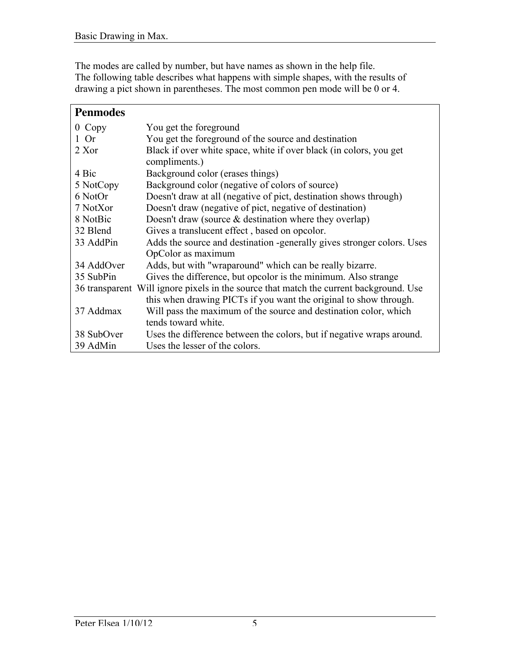The modes are called by number, but have names as shown in the help file. The following table describes what happens with simple shapes, with the results of drawing a pict shown in parentheses. The most common pen mode will be 0 or 4.

| <b>Penmodes</b> |                                                                                        |
|-----------------|----------------------------------------------------------------------------------------|
| $0$ Copy        | You get the foreground                                                                 |
| $1$ Or          | You get the foreground of the source and destination                                   |
| 2 Xor           | Black if over white space, white if over black (in colors, you get                     |
| 4 Bic           | compliments.)                                                                          |
|                 | Background color (erases things)                                                       |
| 5 NotCopy       | Background color (negative of colors of source)                                        |
| 6 NotOr         | Doesn't draw at all (negative of pict, destination shows through)                      |
| 7 NotXor        | Doesn't draw (negative of pict, negative of destination)                               |
| 8 NotBic        | Doesn't draw (source $\&$ destination where they overlap)                              |
| 32 Blend        | Gives a translucent effect, based on opcolor.                                          |
| 33 AddPin       | Adds the source and destination -generally gives stronger colors. Uses                 |
|                 | OpColor as maximum                                                                     |
| 34 AddOver      | Adds, but with "wraparound" which can be really bizarre.                               |
| 35 SubPin       | Gives the difference, but opcolor is the minimum. Also strange                         |
|                 | 36 transparent Will ignore pixels in the source that match the current background. Use |
|                 | this when drawing PICTs if you want the original to show through.                      |
| 37 Addmax       | Will pass the maximum of the source and destination color, which                       |
|                 | tends toward white.                                                                    |
| 38 SubOver      | Uses the difference between the colors, but if negative wraps around.                  |
| 39 AdMin        | Uses the lesser of the colors.                                                         |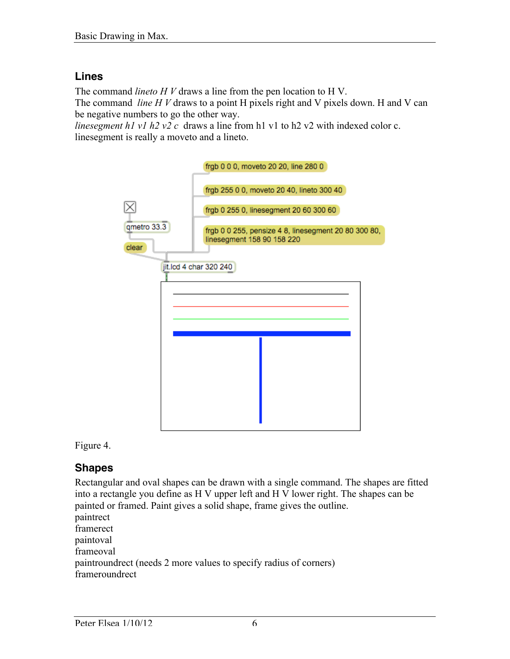#### **Lines**

The command *lineto H V* draws a line from the pen location to H V.

The command *line H V* draws to a point H pixels right and V pixels down. H and V can be negative numbers to go the other way.

*linesegment h1 v1 h2 v2 c* draws a line from h1 v1 to h2 v2 with indexed color c. linesegment is really a moveto and a lineto.



Figure 4.

#### **Shapes**

Rectangular and oval shapes can be drawn with a single command. The shapes are fitted into a rectangle you define as H V upper left and H V lower right. The shapes can be painted or framed. Paint gives a solid shape, frame gives the outline. paintrect framerect paintoval frameoval paintroundrect (needs 2 more values to specify radius of corners) frameroundrect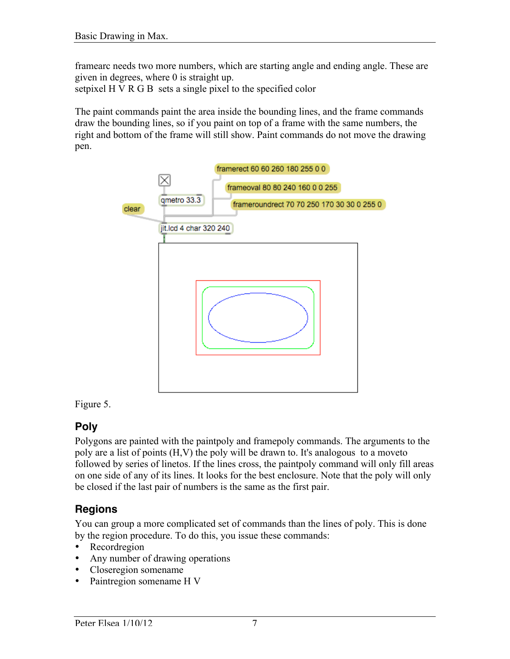framearc needs two more numbers, which are starting angle and ending angle. These are given in degrees, where 0 is straight up.

setpixel H V R G B sets a single pixel to the specified color

The paint commands paint the area inside the bounding lines, and the frame commands draw the bounding lines, so if you paint on top of a frame with the same numbers, the right and bottom of the frame will still show. Paint commands do not move the drawing pen.





### **Poly**

Polygons are painted with the paintpoly and framepoly commands. The arguments to the poly are a list of points (H,V) the poly will be drawn to. It's analogous to a moveto followed by series of linetos. If the lines cross, the paintpoly command will only fill areas on one side of any of its lines. It looks for the best enclosure. Note that the poly will only be closed if the last pair of numbers is the same as the first pair.

### **Regions**

You can group a more complicated set of commands than the lines of poly. This is done by the region procedure. To do this, you issue these commands:

- Recordregion
- Any number of drawing operations
- Closeregion somename
- Paintregion somename H V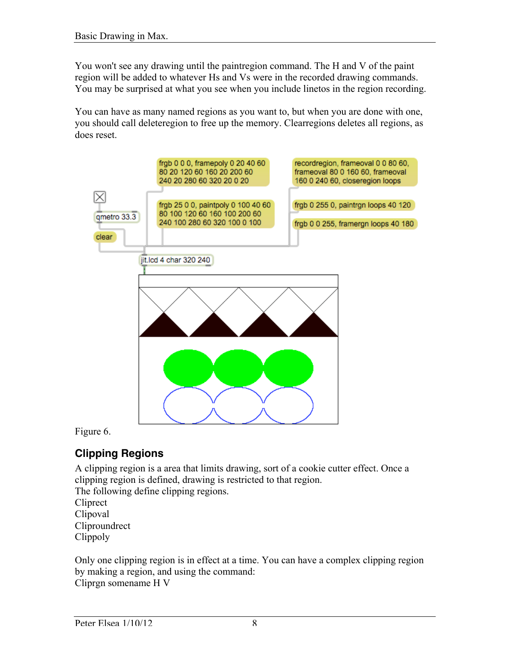You won't see any drawing until the paintregion command. The H and V of the paint region will be added to whatever Hs and Vs were in the recorded drawing commands. You may be surprised at what you see when you include linetos in the region recording.

You can have as many named regions as you want to, but when you are done with one, you should call deleteregion to free up the memory. Clearregions deletes all regions, as does reset.



Figure 6.

### **Clipping Regions**

A clipping region is a area that limits drawing, sort of a cookie cutter effect. Once a clipping region is defined, drawing is restricted to that region. The following define clipping regions.

Cliprect Clipoval

Cliproundrect

Clippoly

Only one clipping region is in effect at a time. You can have a complex clipping region by making a region, and using the command: Cliprgn somename H V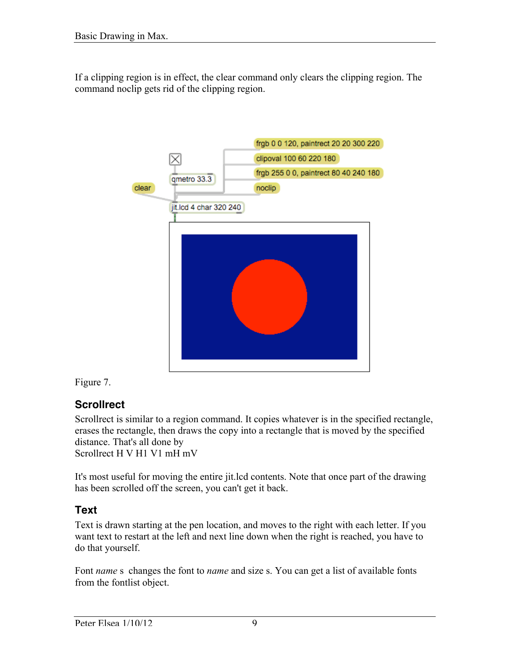If a clipping region is in effect, the clear command only clears the clipping region. The command noclip gets rid of the clipping region.



Figure 7.

# **Scrollrect**

Scrollrect is similar to a region command. It copies whatever is in the specified rectangle, erases the rectangle, then draws the copy into a rectangle that is moved by the specified distance. That's all done by Scrollrect H V H1 V1 mH mV

It's most useful for moving the entire jit.lcd contents. Note that once part of the drawing has been scrolled off the screen, you can't get it back.

### **Text**

Text is drawn starting at the pen location, and moves to the right with each letter. If you want text to restart at the left and next line down when the right is reached, you have to do that yourself.

Font *name* s changes the font to *name* and size s. You can get a list of available fonts from the fontlist object.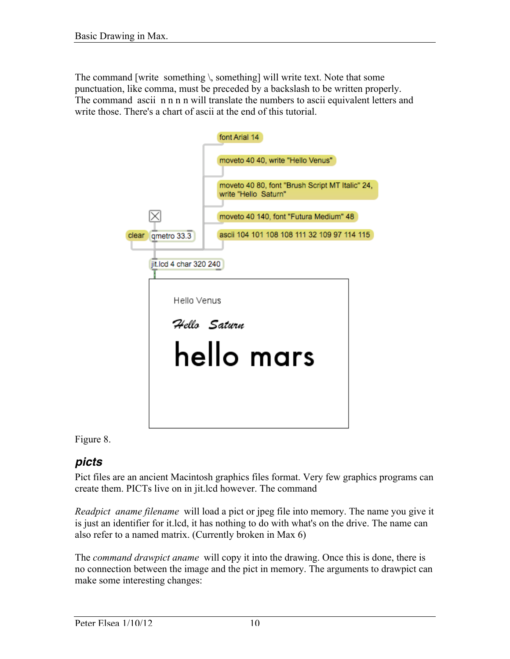The command [write something  $\lambda$ , something] will write text. Note that some punctuation, like comma, must be preceded by a backslash to be written properly. The command ascii n n n n will translate the numbers to ascii equivalent letters and write those. There's a chart of ascii at the end of this tutorial.

|                        | font Arial 14                                                           |  |  |  |  |
|------------------------|-------------------------------------------------------------------------|--|--|--|--|
|                        | moveto 40 40, write "Hello Venus"                                       |  |  |  |  |
|                        |                                                                         |  |  |  |  |
|                        | moveto 40 80, font "Brush Script MT Italic" 24,<br>write "Hello Saturn" |  |  |  |  |
|                        | moveto 40 140, font "Futura Medium" 48                                  |  |  |  |  |
| clear qmetro 33.3      | ascii 104 101 108 108 111 32 109 97 114 115                             |  |  |  |  |
| jit.lcd 4 char 320 240 |                                                                         |  |  |  |  |
| Hello Venus            |                                                                         |  |  |  |  |
|                        | Hello Saturn                                                            |  |  |  |  |
| hello mars             |                                                                         |  |  |  |  |
|                        |                                                                         |  |  |  |  |
|                        |                                                                         |  |  |  |  |
|                        |                                                                         |  |  |  |  |
|                        |                                                                         |  |  |  |  |

Figure 8.

#### *picts*

Pict files are an ancient Macintosh graphics files format. Very few graphics programs can create them. PICTs live on in jit.lcd however. The command

*Readpict aname filename* will load a pict or jpeg file into memory. The name you give it is just an identifier for it.lcd, it has nothing to do with what's on the drive. The name can also refer to a named matrix. (Currently broken in Max 6)

The *command drawpict aname* will copy it into the drawing. Once this is done, there is no connection between the image and the pict in memory. The arguments to drawpict can make some interesting changes: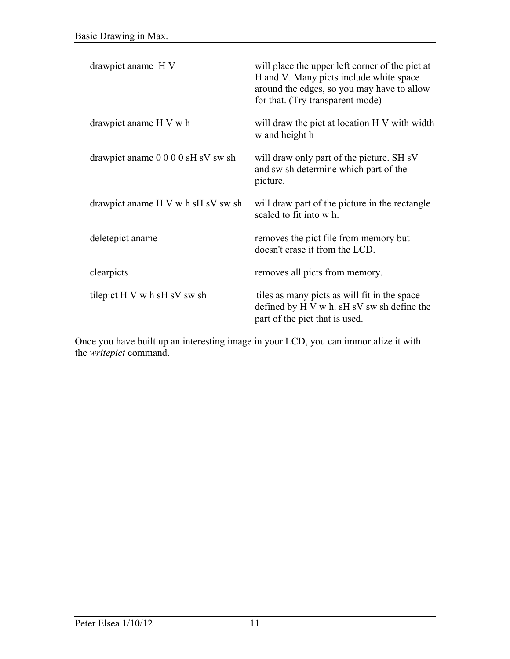| drawpict aname HV                  | will place the upper left corner of the pict at<br>H and V. Many picts include white space<br>around the edges, so you may have to allow<br>for that. (Try transparent mode) |
|------------------------------------|------------------------------------------------------------------------------------------------------------------------------------------------------------------------------|
| drawpict aname H V w h             | will draw the pict at location H V with width<br>w and height h                                                                                                              |
| drawpict aname 0 0 0 0 sH sV sw sh | will draw only part of the picture. SH sV<br>and sw sh determine which part of the<br>picture.                                                                               |
| drawpict aname H V w h sH sV sw sh | will draw part of the picture in the rectangle<br>scaled to fit into w h.                                                                                                    |
| deletepict aname                   | removes the pict file from memory but<br>doesn't erase it from the LCD.                                                                                                      |
| clearpicts                         | removes all picts from memory.                                                                                                                                               |
| tilepict H V w h sH sV sw sh       | tiles as many picts as will fit in the space<br>defined by $H V w h$ . $sH sV sw sh$ define the<br>part of the pict that is used.                                            |

Once you have built up an interesting image in your LCD, you can immortalize it with the *writepict* command.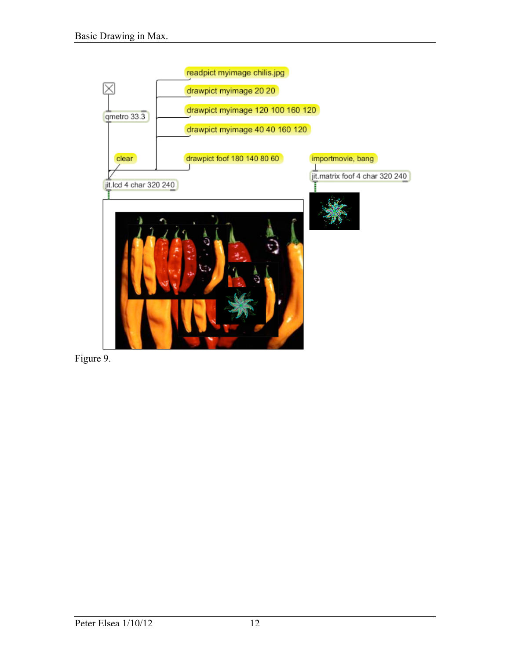

Figure 9.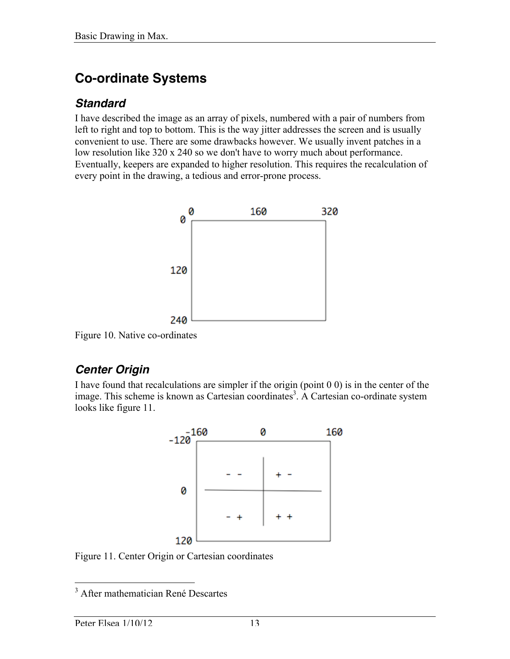# **Co-ordinate Systems**

## *Standard*

I have described the image as an array of pixels, numbered with a pair of numbers from left to right and top to bottom. This is the way jitter addresses the screen and is usually convenient to use. There are some drawbacks however. We usually invent patches in a low resolution like 320 x 240 so we don't have to worry much about performance. Eventually, keepers are expanded to higher resolution. This requires the recalculation of every point in the drawing, a tedious and error-prone process.



Figure 10. Native co-ordinates

# *Center Origin*

I have found that recalculations are simpler if the origin (point 0 0) is in the center of the image. This scheme is known as Cartesian coordinates<sup>3</sup>. A Cartesian co-ordinate system looks like figure 11.



Figure 11. Center Origin or Cartesian coordinates

<sup>&</sup>lt;sup>3</sup> After mathematician René Descartes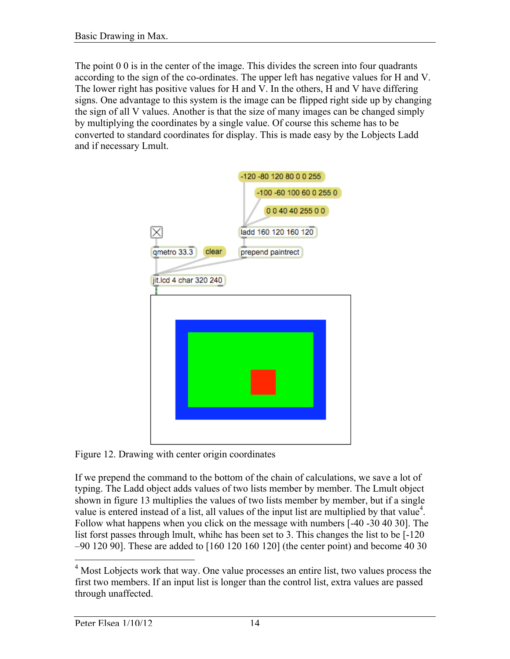The point 0 0 is in the center of the image. This divides the screen into four quadrants according to the sign of the co-ordinates. The upper left has negative values for H and V. The lower right has positive values for H and V. In the others, H and V have differing signs. One advantage to this system is the image can be flipped right side up by changing the sign of all V values. Another is that the size of many images can be changed simply by multiplying the coordinates by a single value. Of course this scheme has to be converted to standard coordinates for display. This is made easy by the Lobjects Ladd and if necessary Lmult.



Figure 12. Drawing with center origin coordinates

If we prepend the command to the bottom of the chain of calculations, we save a lot of typing. The Ladd object adds values of two lists member by member. The Lmult object shown in figure 13 multiplies the values of two lists member by member, but if a single value is entered instead of a list, all values of the input list are multiplied by that value<sup>4</sup>. Follow what happens when you click on the message with numbers [-40 -30 40 30]. The list forst passes through lmult, whihc has been set to 3. This changes the list to be [-120 –90 120 90]. These are added to [160 120 160 120] (the center point) and become 40 30

<sup>&</sup>lt;sup>4</sup> Most Lobjects work that way. One value processes an entire list, two values process the first two members. If an input list is longer than the control list, extra values are passed through unaffected.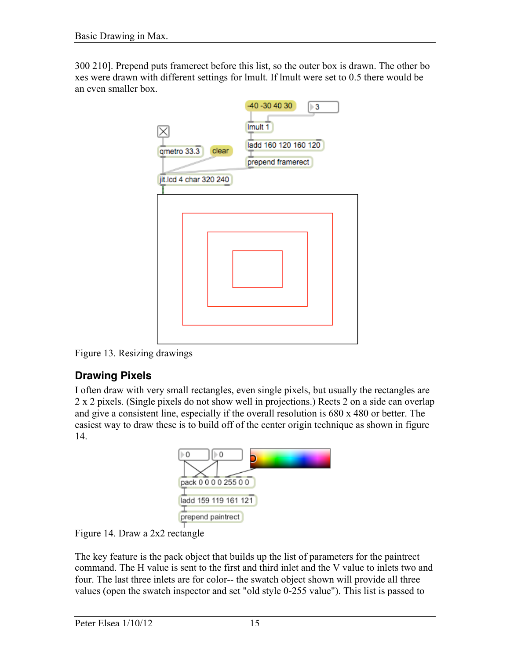300 210]. Prepend puts framerect before this list, so the outer box is drawn. The other bo xes were drawn with different settings for lmult. If lmult were set to 0.5 there would be an even smaller box.



Figure 13. Resizing drawings

### **Drawing Pixels**

I often draw with very small rectangles, even single pixels, but usually the rectangles are 2 x 2 pixels. (Single pixels do not show well in projections.) Rects 2 on a side can overlap and give a consistent line, especially if the overall resolution is 680 x 480 or better. The easiest way to draw these is to build off of the center origin technique as shown in figure 14.



Figure 14. Draw a 2x2 rectangle

The key feature is the pack object that builds up the list of parameters for the paintrect command. The H value is sent to the first and third inlet and the V value to inlets two and four. The last three inlets are for color-- the swatch object shown will provide all three values (open the swatch inspector and set "old style 0-255 value"). This list is passed to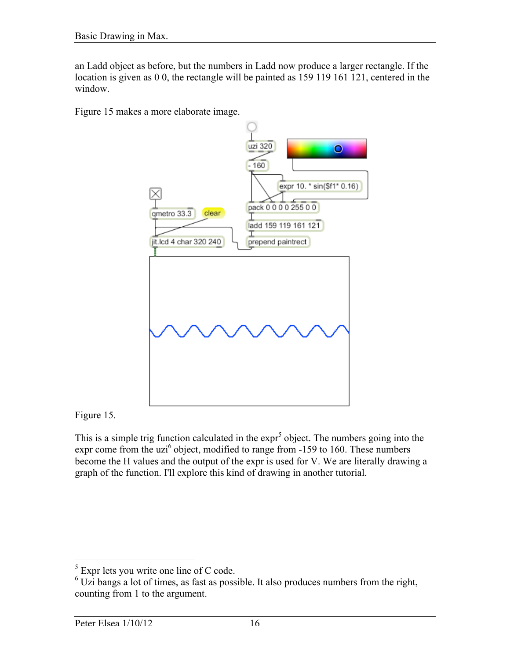an Ladd object as before, but the numbers in Ladd now produce a larger rectangle. If the location is given as 0 0, the rectangle will be painted as 159 119 161 121, centered in the window.

Figure 15 makes a more elaborate image.



Figure 15.

This is a simple trig function calculated in the  $exp<sup>5</sup>$  object. The numbers going into the expr come from the uzi<sup>6</sup> object, modified to range from -159 to 160. These numbers become the H values and the output of the expr is used for V. We are literally drawing a graph of the function. I'll explore this kind of drawing in another tutorial.

<sup>&</sup>lt;sup>5</sup> Expr lets you write one line of C code.

 $6$  Uzi bangs a lot of times, as fast as possible. It also produces numbers from the right, counting from 1 to the argument.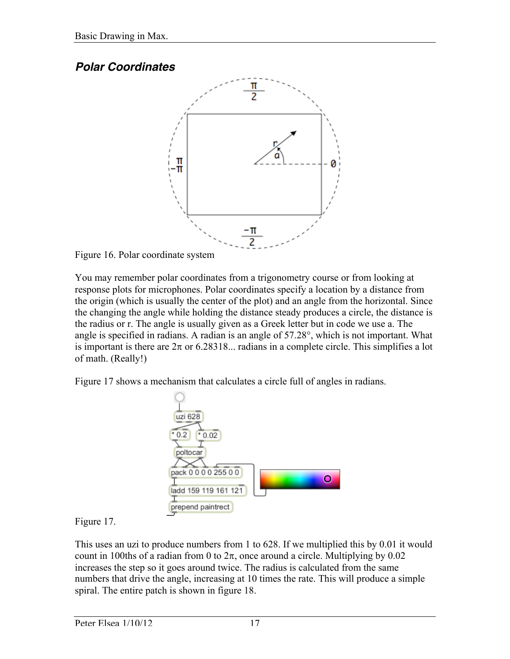## *Polar Coordinates*





You may remember polar coordinates from a trigonometry course or from looking at response plots for microphones. Polar coordinates specify a location by a distance from the origin (which is usually the center of the plot) and an angle from the horizontal. Since the changing the angle while holding the distance steady produces a circle, the distance is the radius or r. The angle is usually given as a Greek letter but in code we use a. The angle is specified in radians. A radian is an angle of 57.28°, which is not important. What is important is there are  $2\pi$  or 6.28318... radians in a complete circle. This simplifies a lot of math. (Really!)

Figure 17 shows a mechanism that calculates a circle full of angles in radians.



Figure 17.

This uses an uzi to produce numbers from 1 to 628. If we multiplied this by 0.01 it would count in 100ths of a radian from 0 to  $2\pi$ , once around a circle. Multiplying by 0.02 increases the step so it goes around twice. The radius is calculated from the same numbers that drive the angle, increasing at 10 times the rate. This will produce a simple spiral. The entire patch is shown in figure 18.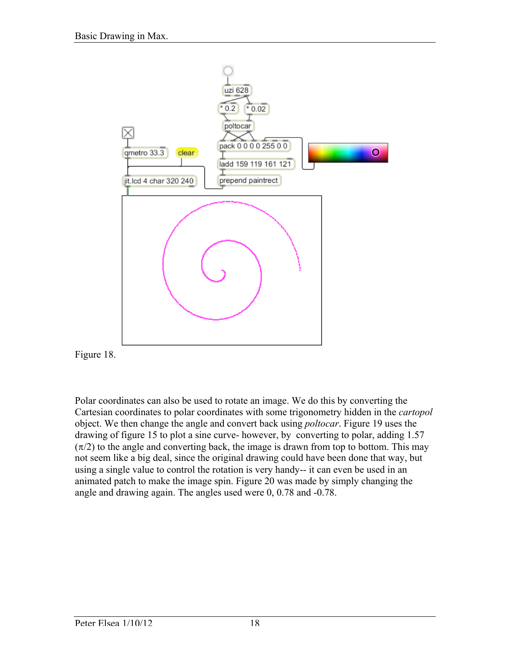



Polar coordinates can also be used to rotate an image. We do this by converting the Cartesian coordinates to polar coordinates with some trigonometry hidden in the *cartopol* object. We then change the angle and convert back using *poltocar*. Figure 19 uses the drawing of figure 15 to plot a sine curve- however, by converting to polar, adding 1.57  $(\pi/2)$  to the angle and converting back, the image is drawn from top to bottom. This may not seem like a big deal, since the original drawing could have been done that way, but using a single value to control the rotation is very handy-- it can even be used in an animated patch to make the image spin. Figure 20 was made by simply changing the angle and drawing again. The angles used were 0, 0.78 and -0.78.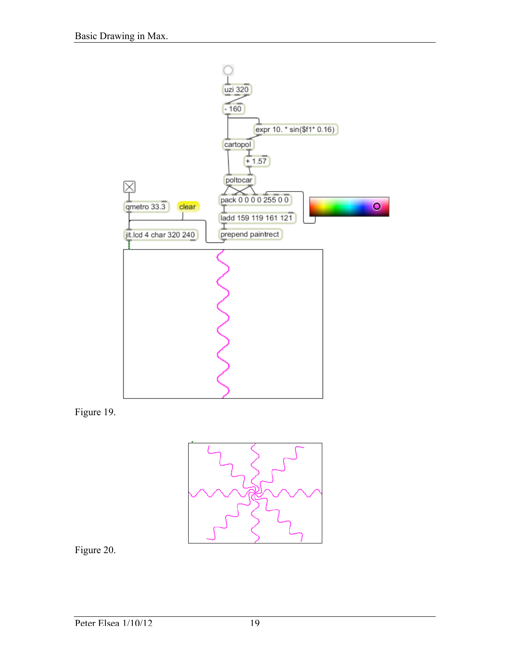

Figure 19.



Figure 20.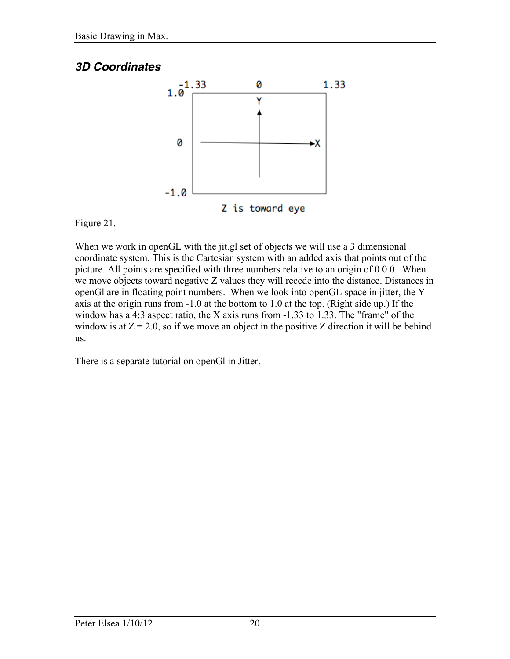# *3D Coordinates*



Figure 21.

When we work in openGL with the jit.gl set of objects we will use a 3 dimensional coordinate system. This is the Cartesian system with an added axis that points out of the picture. All points are specified with three numbers relative to an origin of 0 0 0. When we move objects toward negative Z values they will recede into the distance. Distances in openGl are in floating point numbers. When we look into openGL space in jitter, the Y axis at the origin runs from -1.0 at the bottom to 1.0 at the top. (Right side up.) If the window has a 4:3 aspect ratio, the X axis runs from -1.33 to 1.33. The "frame" of the window is at  $Z = 2.0$ , so if we move an object in the positive Z direction it will be behind us.

There is a separate tutorial on openGl in Jitter.